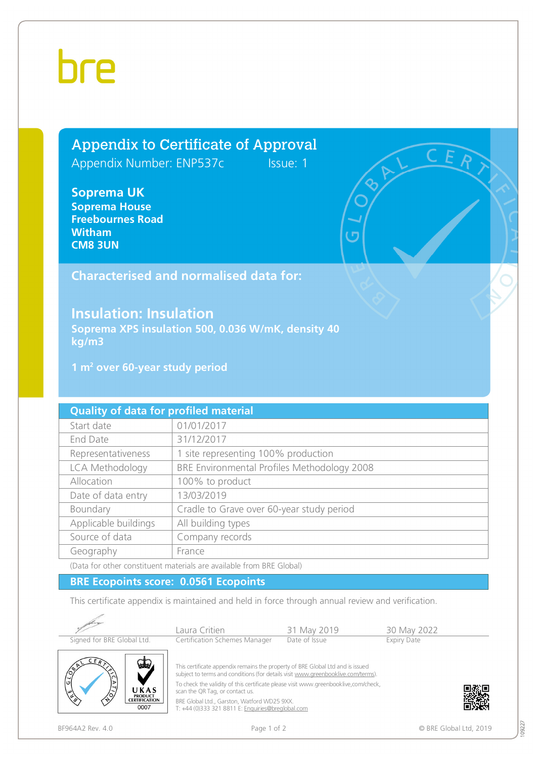## bre

## Appendix to Certificate of Approval

Appendix Number: ENP537cIssue: 1

**Soprema UK Soprema House Freebournes Road Witham CM8 3UN** 

## **Characterised and normalised data for:**

## **Insulation: Insulation**

**Soprema XPS insulation 500, 0.036 W/mK, density 40 kg/m3** 

**1 m<sup>2</sup> over 60-year study period** 

| <b>Quality of data for profiled material</b> |                                             |  |  |  |
|----------------------------------------------|---------------------------------------------|--|--|--|
| Start date                                   | 01/01/2017                                  |  |  |  |
| End Date                                     | 31/12/2017                                  |  |  |  |
| Representativeness                           | 1 site representing 100% production         |  |  |  |
| LCA Methodology                              | BRE Environmental Profiles Methodology 2008 |  |  |  |
| Allocation                                   | 100% to product                             |  |  |  |
| Date of data entry                           | 13/03/2019                                  |  |  |  |
| Boundary                                     | Cradle to Grave over 60-year study period   |  |  |  |
| Applicable buildings                         | All building types                          |  |  |  |
| Source of data                               | Company records                             |  |  |  |
| Geography                                    | France                                      |  |  |  |

(Data for other constituent materials are available from BRE Global)

### **BRE Ecopoints score: 0.0561 Ecopoints**

This certificate appendix is maintained and held in force through annual review and verification.



09227